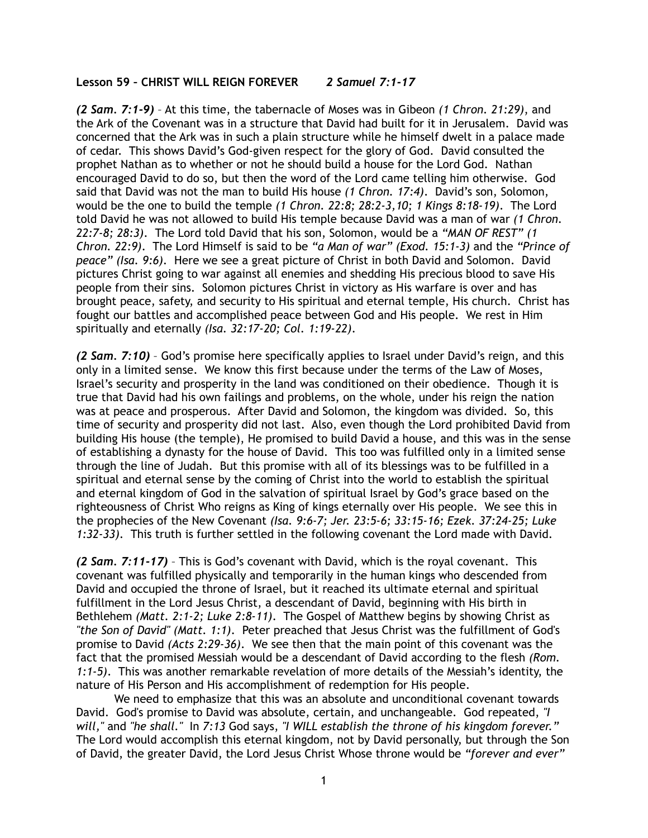## **Lesson 59 – CHRIST WILL REIGN FOREVER** *2 Samuel 7:1-17*

*(2 Sam. 7:1-9)* – At this time, the tabernacle of Moses was in Gibeon *(1 Chron. 21:29)*, and the Ark of the Covenant was in a structure that David had built for it in Jerusalem. David was concerned that the Ark was in such a plain structure while he himself dwelt in a palace made of cedar. This shows David's God-given respect for the glory of God. David consulted the prophet Nathan as to whether or not he should build a house for the Lord God. Nathan encouraged David to do so, but then the word of the Lord came telling him otherwise. God said that David was not the man to build His house *(1 Chron. 17:4)*. David's son, Solomon, would be the one to build the temple *(1 Chron. 22:8; 28:2-3,10; 1 Kings 8:18-19)*. The Lord told David he was not allowed to build His temple because David was a man of war *(1 Chron. 22:7-8; 28:3)*. The Lord told David that his son, Solomon, would be a *"MAN OF REST" (1 Chron. 22:9)*. The Lord Himself is said to be *"a Man of war" (Exod. 15:1-3)* and the *"Prince of peace" (Isa. 9:6)*. Here we see a great picture of Christ in both David and Solomon. David pictures Christ going to war against all enemies and shedding His precious blood to save His people from their sins. Solomon pictures Christ in victory as His warfare is over and has brought peace, safety, and security to His spiritual and eternal temple, His church. Christ has fought our battles and accomplished peace between God and His people. We rest in Him spiritually and eternally *(Isa. 32:17-20; Col. 1:19-22)*.

*(2 Sam. 7:10)* – God's promise here specifically applies to Israel under David's reign, and this only in a limited sense. We know this first because under the terms of the Law of Moses, Israel's security and prosperity in the land was conditioned on their obedience. Though it is true that David had his own failings and problems, on the whole, under his reign the nation was at peace and prosperous. After David and Solomon, the kingdom was divided. So, this time of security and prosperity did not last. Also, even though the Lord prohibited David from building His house (the temple), He promised to build David a house, and this was in the sense of establishing a dynasty for the house of David. This too was fulfilled only in a limited sense through the line of Judah. But this promise with all of its blessings was to be fulfilled in a spiritual and eternal sense by the coming of Christ into the world to establish the spiritual and eternal kingdom of God in the salvation of spiritual Israel by God's grace based on the righteousness of Christ Who reigns as King of kings eternally over His people. We see this in the prophecies of the New Covenant *(Isa. 9:6-7; Jer. 23:5-6; 33:15-16; Ezek. 37:24-25; Luke 1:32-33)*. This truth is further settled in the following covenant the Lord made with David.

*(2 Sam. 7:11-17)* – This is God's covenant with David, which is the royal covenant. This covenant was fulfilled physically and temporarily in the human kings who descended from David and occupied the throne of Israel, but it reached its ultimate eternal and spiritual fulfillment in the Lord Jesus Christ, a descendant of David, beginning with His birth in Bethlehem *(Matt. 2:1-2; Luke 2:8-11)*. The Gospel of Matthew begins by showing Christ as *"the Son of David" (Matt. 1:1)*. Peter preached that Jesus Christ was the fulfillment of God's promise to David *(Acts 2:29-36)*. We see then that the main point of this covenant was the fact that the promised Messiah would be a descendant of David according to the flesh *(Rom. 1:1-5)*. This was another remarkable revelation of more details of the Messiah's identity, the nature of His Person and His accomplishment of redemption for His people.

We need to emphasize that this was an absolute and unconditional covenant towards David. God's promise to David was absolute, certain, and unchangeable. God repeated, *"I will,"* and *"he shall."* In *7:13* God says, *"I WILL establish the throne of his kingdom forever."* The Lord would accomplish this eternal kingdom, not by David personally, but through the Son of David, the greater David, the Lord Jesus Christ Whose throne would be *"forever and ever"*